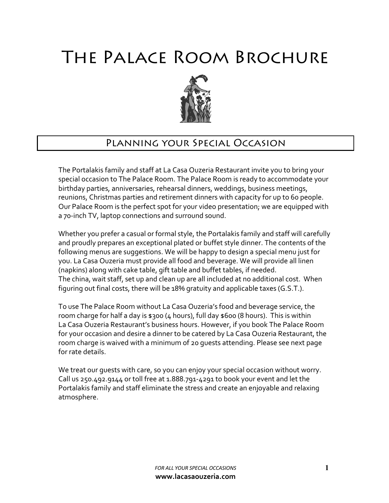

# Planning your Special Occasion

The Portalakis family and staff at La Casa Ouzeria Restaurant invite you to bring your special occasion to The Palace Room. The Palace Room is ready to accommodate your birthday parties, anniversaries, rehearsal dinners, weddings, business meetings, reunions, Christmas parties and retirement dinners with capacity for up to 60 people. Our Palace Room is the perfect spot for your video presentation; we are equipped with a 70-inch TV, laptop connections and surround sound.

Whether you prefer a casual or formal style, the Portalakis family and staff will carefully and proudly prepares an exceptional plated or buffet style dinner. The contents of the following menus are suggestions. We will be happy to design a special menu just for you. La Casa Ouzeria must provide all food and beverage. We will provide all linen (napkins) along with cake table, gift table and buffet tables, if needed. The china, wait staff, set up and clean up are all included at no additional cost. When figuring out final costs, there will be 18% gratuity and applicable taxes (G.S.T.).

To use The Palace Room without La Casa Ouzeria's food and beverage service, the room charge for half a day is  $$300 (4 hours)$ , full day  $$600 (8 hours)$ . This is within La Casa Ouzeria Restaurant's business hours. However, if you book The Palace Room for your occasion and desire a dinner to be catered by La Casa Ouzeria Restaurant, the room charge is waived with a minimum of 20 guests attending. Please see next page for rate details.

We treat our guests with care, so you can enjoy your special occasion without worry. Call us 250.492.9144 or toll free at 1.888.791-4291 to book your event and let the Portalakis family and staff eliminate the stress and create an enjoyable and relaxing atmosphere.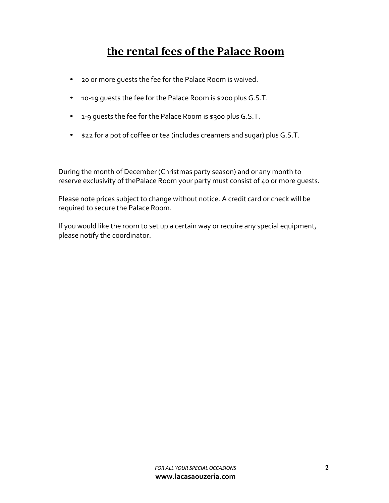# **the rental fees of the Palace Room**

- 20 or more guests the fee for the Palace Room is waived.
- 10-19 guests the fee for the Palace Room is \$200 plus G.S.T.
- 1-9 guests the fee for the Palace Room is \$300 plus G.S.T.
- \$22 for a pot of coffee or tea (includes creamers and sugar) plus G.S.T.

During the month of December (Christmas party season) and or any month to reserve exclusivity of thePalace Room your party must consist of 40 or more guests.

Please note prices subject to change without notice. A credit card or check will be required to secure the Palace Room.

If you would like the room to set up a certain way or require any special equipment, please notify the coordinator.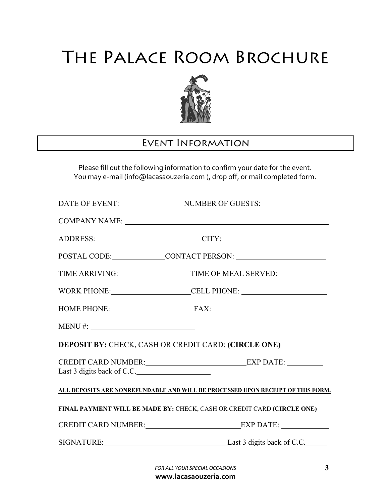

## Event Information

Please fill out the following information to confirm your date for the event. You may e-mail (info@lacasaouzeria.com ), drop off, or mail completed form.

|                                                                        | DATE OF EVENT: NUMBER OF GUESTS:                                                |  |
|------------------------------------------------------------------------|---------------------------------------------------------------------------------|--|
|                                                                        | COMPANY NAME: University of the COMPANY NAME:                                   |  |
|                                                                        | ADDRESS: CITY: CITY:                                                            |  |
|                                                                        |                                                                                 |  |
|                                                                        |                                                                                 |  |
|                                                                        | WORK PHONE: CELL PHONE:                                                         |  |
|                                                                        | HOME PHONE: FAX: FAX:                                                           |  |
|                                                                        |                                                                                 |  |
| DEPOSIT BY: CHECK, CASH OR CREDIT CARD: (CIRCLE ONE)                   |                                                                                 |  |
|                                                                        | CREDIT CARD NUMBER: EXP DATE:                                                   |  |
| Last 3 digits back of C.C.                                             |                                                                                 |  |
|                                                                        | ALL DEPOSITS ARE NONREFUNDABLE AND WILL BE PROCESSED UPON RECEIPT OF THIS FORM. |  |
| FINAL PAYMENT WILL BE MADE BY: CHECK, CASH OR CREDIT CARD (CIRCLE ONE) |                                                                                 |  |
|                                                                        | CREDIT CARD NUMBER: EXP DATE:                                                   |  |
|                                                                        | SIGNATURE: Last 3 digits back of C.C.                                           |  |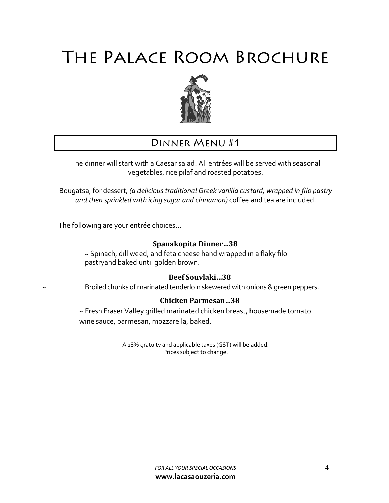

# Dinner Menu #1

The dinner will start with a Caesar salad. All entrées will be served with seasonal vegetables, rice pilaf and roasted potatoes.

Bougatsa, for dessert*, (a delicious traditional Greek vanilla custard, wrapped in filo pastry and then sprinkled with icing sugar and cinnamon)* coffee and tea are included.

The following are your entrée choices…

#### **Spanakopita Dinner…38**

~ Spinach, dill weed, and feta cheese hand wrapped in a flaky filo pastryand baked until golden brown.

#### **Beef Souvlaki…38**

Broiled chunks of marinated tenderloin skewered with onions & green peppers.

#### **Chicken Parmesan…38**

~ Fresh Fraser Valley grilled marinated chicken breast, housemade tomato wine sauce, parmesan, mozzarella, baked.

> A 18% gratuity and applicable taxes (GST) will be added. Prices subject to change.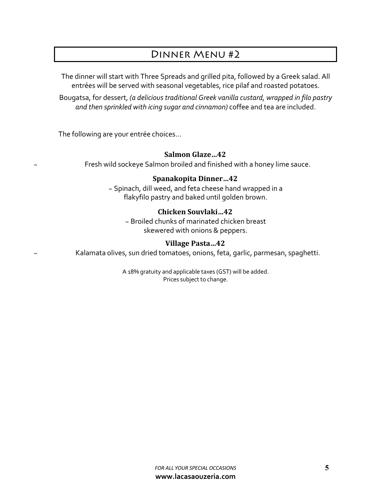# Dinner Menu #2

The dinner will start with Three Spreads and grilled pita, followed by a Greek salad. All entrées will be served with seasonal vegetables, rice pilaf and roasted potatoes.

Bougatsa, for dessert, *(a delicious traditional Greek vanilla custard, wrapped in filo pastry and then sprinkled with icing sugar and cinnamon)* coffee and tea are included.

The following are your entrée choices…

#### **Salmon Glaze…42**

Fresh wild sockeye Salmon broiled and finished with a honey lime sauce.

#### **Spanakopita Dinner…42**

~ Spinach, dill weed, and feta cheese hand wrapped in a flakyfilo pastry and baked until golden brown.

#### **Chicken Souvlaki…42**

~ Broiled chunks of marinated chicken breast skewered with onions & peppers.

#### **Village Pasta…42**

Kalamata olives, sun dried tomatoes, onions, feta, garlic, parmesan, spaghetti.

A 18% gratuity and applicable taxes (GST) will be added. Prices subject to change.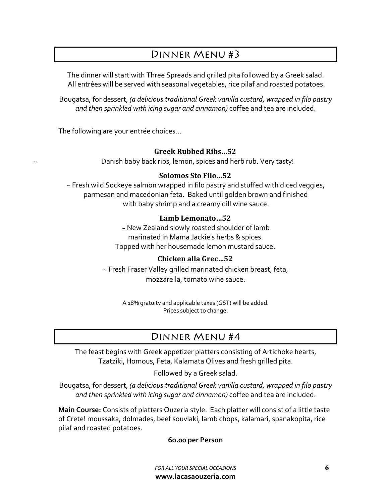# Dinner Menu #3

The dinner will start with Three Spreads and grilled pita followed by a Greek salad. All entrées will be served with seasonal vegetables, rice pilaf and roasted potatoes.

Bougatsa, for dessert, *(a delicious traditional Greek vanilla custard, wrapped in filo pastry and then sprinkled with icing sugar and cinnamon)* coffee and tea are included.

The following are your entrée choices…

#### **Greek Rubbed Ribs…52**

Danish baby back ribs, lemon, spices and herb rub. Very tasty!

#### **Solomos Sto Filo…52**

~ Fresh wild Sockeye salmon wrapped in filo pastry and stuffed with diced veggies, parmesan and macedonian feta. Baked until golden brown and finished with baby shrimp and a creamy dill wine sauce.

#### **Lamb Lemonato…52**

~ New Zealand slowly roasted shoulder of lamb marinated in Mama Jackie's herbs & spices. Topped with her housemade lemon mustard sauce.

#### **Chicken alla Grec…52**

~ Fresh Fraser Valley grilled marinated chicken breast, feta, mozzarella, tomato wine sauce.

> A 18% gratuity and applicable taxes (GST) will be added. Prices subject to change.

## Dinner Menu #4

The feast begins with Greek appetizer platters consisting of Artichoke hearts, Tzatziki, Homous, Feta, Kalamata Olives and fresh grilled pita.

Followed by a Greek salad.

Bougatsa, for dessert, *(a delicious traditional Greek vanilla custard, wrapped in filo pastry and then sprinkled with icing sugar and cinnamon)* coffee and tea are included.

**Main Course:** Consists of platters Ouzeria style. Each platter will consist of a little taste of Crete! moussaka, dolmades, beef souvlaki, lamb chops, kalamari, spanakopita, rice pilaf and roasted potatoes.

#### **60.00 per Person**

*FOR ALL YOUR SPECIAL OCCASIONS* **6 www.lacasaouzeria.com**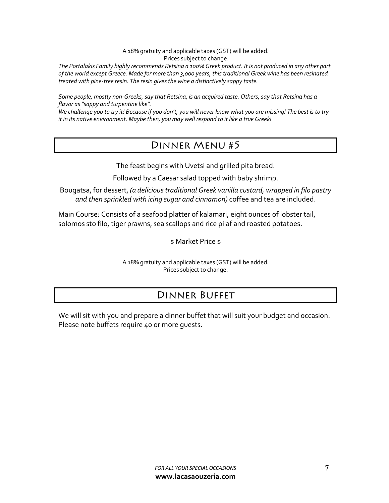A 18% gratuity and applicable taxes (GST) will be added. Prices subject to change.

The Portalakis Family highly recommends Retsina a 100% Greek product. It is not produced in any other part *of the world except Greece. Made for more than 3,000 years, this traditional Greek wine has been resinated treated with pine-tree resin. The resin givesthe wine a distinctively sappy taste.*

*Some people, mostly non-Greeks, say that Retsina, is an acquired taste. Others, say that Retsina has a flavor as"sappy and turpentine like".*

*We challenge you to try it! Because if you don't, you will never know what you are missing! The best is to try it in its native environment. Maybe then, you may well respond to it like a true Greek!*

## Dinner Menu #5

The feast begins with Uvetsi and grilled pita bread.

Followed by a Caesar salad topped with baby shrimp.

Bougatsa, for dessert, *(a delicioustraditional Greek vanilla custard, wrapped in filo pastry and then sprinkled with icing sugar and cinnamon)* coffee and tea are included.

Main Course: Consists of a seafood platter of kalamari, eight ounces of lobster tail, solomos sto filo, tiger prawns, sea scallops and rice pilaf and roasted potatoes.

\$ Market Price \$

A 18% gratuity and applicable taxes (GST) will be added. Prices subject to change.

## Dinner Buffet

We will sit with you and prepare a dinner buffet that will suit your budget and occasion. Please note buffets require 40 or more guests.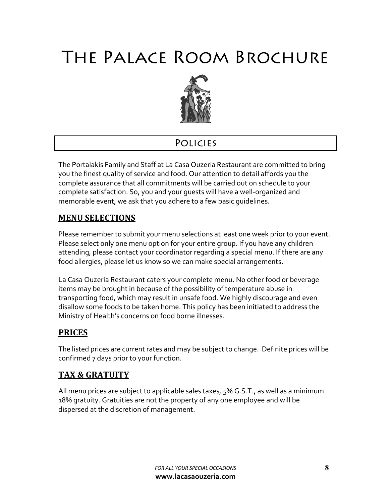

# **POLICIES**

The Portalakis Family and Staff at La Casa Ouzeria Restaurant are committed to bring you the finest quality of service and food. Our attention to detail affords you the complete assurance that all commitments will be carried out on schedule to your complete satisfaction. So, you and your guests will have a well-organized and memorable event, we ask that you adhere to a few basic guidelines.

## **MENU SELECTIONS**

Please remember to submit your menu selections at least one week prior to your event. Please select only one menu option for your entire group. If you have any children attending, please contact your coordinator regarding a special menu. If there are any food allergies, please let us know so we can make special arrangements.

La Casa Ouzeria Restaurant caters your complete menu. No other food or beverage items may be brought in because of the possibility of temperature abuse in transporting food, which may result in unsafe food. We highly discourage and even disallow some foods to be taken home. This policy has been initiated to address the Ministry of Health's concerns on food borne illnesses.

## **PRICES**

The listed prices are current rates and may be subject to change. Definite prices will be confirmed 7 days prior to your function.

### **TAX & GRATUITY**

All menu prices are subject to applicable sales taxes, 5% G.S.T., as well as a minimum 18% gratuity. Gratuities are not the property of any one employee and will be dispersed at the discretion of management.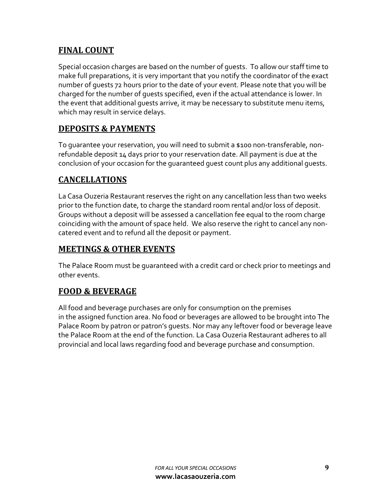### **FINAL COUNT**

Special occasion charges are based on the number of guests. To allow our staff time to make full preparations, it is very important that you notify the coordinator of the exact number of guests 72 hours prior to the date of your event. Please note that you will be charged for the number of guests specified, even if the actual attendance is lower. In the event that additional guests arrive, it may be necessary to substitute menu items, which may result in service delays.

## **DEPOSITS & PAYMENTS**

To guarantee your reservation, you will need to submit a \$100 non-transferable, nonrefundable deposit 14 days prior to your reservation date. All payment is due at the conclusion of your occasion for the guaranteed guest count plus any additional guests.

## **CANCELLATIONS**

La Casa Ouzeria Restaurant reserves the right on any cancellation less than two weeks prior to the function date, to charge the standard room rental and/or loss of deposit. Groups without a deposit will be assessed a cancellation fee equal to the room charge coinciding with the amount of space held. We also reserve the right to cancel any noncatered event and to refund all the deposit or payment.

## **MEETINGS & OTHER EVENTS**

The Palace Room must be guaranteed with a credit card or check prior to meetings and other events.

### **FOOD & BEVERAGE**

All food and beverage purchases are only for consumption on the premises in the assigned function area. No food or beverages are allowed to be brought into The Palace Room by patron or patron's guests. Nor may any leftover food or beverage leave the Palace Room at the end of the function. La Casa Ouzeria Restaurant adheres to all provincial and local laws regarding food and beverage purchase and consumption.